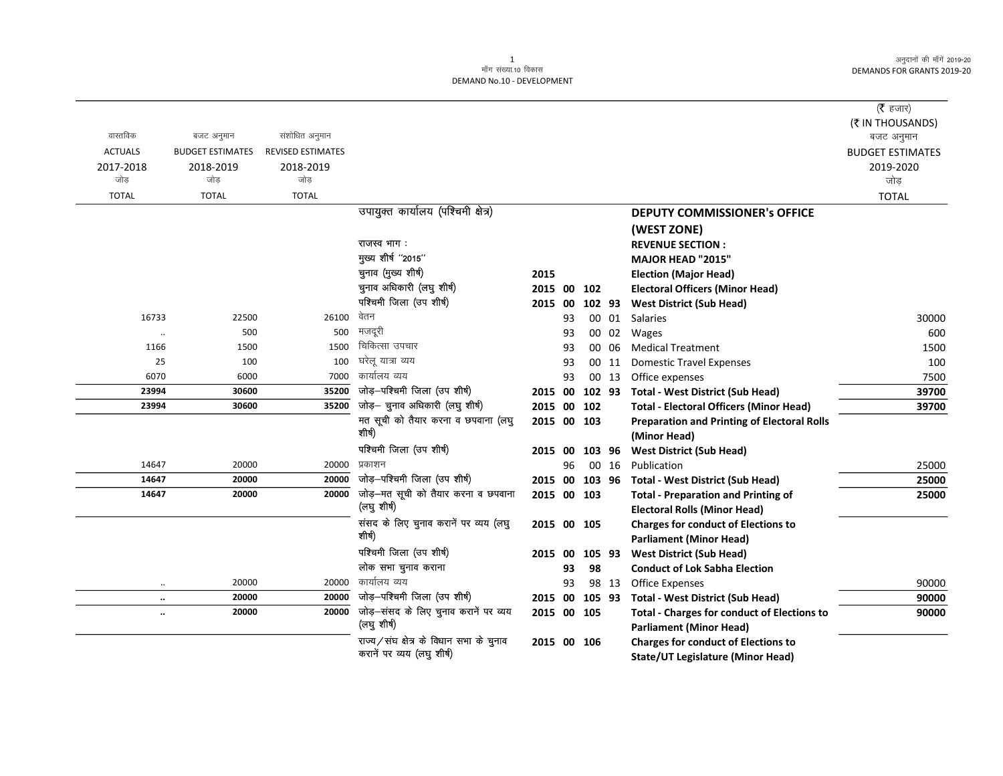$(\bar{\mathfrak{F}}$  हजार)

|                   |                         |                          |                                                      |             |    |        |        |                                                                                      | ( $\bar{\tau}$ हजार)<br>(₹ IN THOUSANDS) |
|-------------------|-------------------------|--------------------------|------------------------------------------------------|-------------|----|--------|--------|--------------------------------------------------------------------------------------|------------------------------------------|
| वास्तविक          | बजट अनुमान              | संशोधित अनुमान           |                                                      |             |    |        |        |                                                                                      | बजट अनुमान                               |
| <b>ACTUALS</b>    | <b>BUDGET ESTIMATES</b> | <b>REVISED ESTIMATES</b> |                                                      |             |    |        |        |                                                                                      | <b>BUDGET ESTIMATES</b>                  |
| 2017-2018<br>जोड़ | 2018-2019<br>जोड        | 2018-2019<br>जोड         |                                                      |             |    |        |        |                                                                                      | 2019-2020<br>जोड़                        |
| <b>TOTAL</b>      | <b>TOTAL</b>            | <b>TOTAL</b>             |                                                      |             |    |        |        |                                                                                      | <b>TOTAL</b>                             |
|                   |                         |                          | उपायुक्त कार्यालय (पश्चिमी क्षेत्र)                  |             |    |        |        | <b>DEPUTY COMMISSIONER's OFFICE</b>                                                  |                                          |
|                   |                         |                          |                                                      |             |    |        |        | (WEST ZONE)                                                                          |                                          |
|                   |                         |                          | राजस्व भाग :                                         |             |    |        |        | <b>REVENUE SECTION:</b>                                                              |                                          |
|                   |                         |                          | मुख्य शीर्ष "2015"                                   |             |    |        |        | MAJOR HEAD "2015"                                                                    |                                          |
|                   |                         |                          | चुनाव (मुख्य शीर्ष)                                  | 2015        |    |        |        | <b>Election (Major Head)</b>                                                         |                                          |
|                   |                         |                          | चुनाव अधिकारी (लघु शीर्ष)                            | 2015 00 102 |    |        |        | <b>Electoral Officers (Minor Head)</b>                                               |                                          |
|                   |                         |                          | पश्चिमी जिला (उप शीर्ष)                              | 2015 00     |    |        | 102 93 | <b>West District (Sub Head)</b>                                                      |                                          |
| 16733             | 22500                   | 26100                    | वेतन                                                 |             | 93 |        | 00 01  | Salaries                                                                             | 30000                                    |
| $\cdot\cdot$      | 500                     | 500                      | मजदूरी                                               |             | 93 |        | 00 02  | Wages                                                                                | 600                                      |
| 1166              | 1500                    | 1500                     | चिकित्सा उपचार                                       |             | 93 |        | 00 06  | <b>Medical Treatment</b>                                                             | 1500                                     |
| 25                | 100                     | 100                      | घरेल यात्रा व्यय                                     |             | 93 |        | 00 11  | <b>Domestic Travel Expenses</b>                                                      | 100                                      |
| 6070              | 6000                    | 7000                     | कार्यालय व्यय                                        |             | 93 |        | 00 13  | Office expenses                                                                      | 7500                                     |
| 23994             | 30600                   | 35200                    | जोड़-पश्चिमी जिला (उप शीर्ष)                         |             |    |        |        | 2015 00 102 93 Total - West District (Sub Head)                                      | 39700                                    |
| 23994             | 30600                   | 35200                    | जोड़– चुनाव अधिकारी (लघु शीर्ष)                      | 2015 00 102 |    |        |        | <b>Total - Electoral Officers (Minor Head)</b>                                       | 39700                                    |
|                   |                         |                          | मत सूची को तैयार करना व छपवाना (लघु                  | 2015 00 103 |    |        |        | <b>Preparation and Printing of Electoral Rolls</b>                                   |                                          |
|                   |                         |                          | शीर्ष)                                               |             |    |        |        | (Minor Head)                                                                         |                                          |
|                   |                         |                          | पश्चिमी जिला (उप शीर्ष)                              | 2015 00     |    |        | 103 96 | <b>West District (Sub Head)</b>                                                      |                                          |
| 14647             | 20000                   | 20000                    | प्रकाशन                                              |             | 96 |        | 00 16  | Publication                                                                          | 25000                                    |
| 14647             | 20000                   | 20000                    | जोड़-पश्चिमी जिला (उप शीर्ष)                         |             |    |        |        | 2015 00 103 96 Total - West District (Sub Head)                                      | 25000                                    |
| 14647             | 20000                   | 20000                    | जोड़-मत सूची को तैयार करना व छपवाना                  | 2015 00 103 |    |        |        | <b>Total - Preparation and Printing of</b>                                           | 25000                                    |
|                   |                         |                          | (लघु शीर्ष)                                          |             |    |        |        | <b>Electoral Rolls (Minor Head)</b>                                                  |                                          |
|                   |                         |                          | संसद के लिए चुनाव करानें पर व्यय (लघु                | 2015 00 105 |    |        |        | <b>Charges for conduct of Elections to</b>                                           |                                          |
|                   |                         |                          | शोर्ष)                                               |             |    |        |        | <b>Parliament (Minor Head)</b>                                                       |                                          |
|                   |                         |                          | पश्चिमी जिला (उप शीर्ष)                              | 2015 00     |    | 105 93 |        | <b>West District (Sub Head)</b>                                                      |                                          |
|                   |                         |                          | लोक सभा चुनाव कराना                                  |             | 93 | 98     |        | <b>Conduct of Lok Sabha Election</b>                                                 |                                          |
| $\ddotsc$         | 20000                   | 20000                    | कार्यालय व्यय                                        |             | 93 |        |        | 98 13 Office Expenses                                                                | 90000                                    |
| $\ldots$          | 20000                   | 20000                    | जोड़-पश्चिमी जिला (उप शीर्ष)                         | 2015 00     |    |        |        | 105 93 Total - West District (Sub Head)                                              | 90000                                    |
| $\ddotsc$         | 20000                   | 20000                    | जोड़-संसद के लिए चुनाव करानें पर व्यय<br>(लघु शीर्ष) | 2015 00 105 |    |        |        | <b>Total - Charges for conduct of Elections to</b><br><b>Parliament (Minor Head)</b> | 90000                                    |
|                   |                         |                          | राज्य/संघ क्षेत्र के विधान सभा के चुनाव              | 2015 00 106 |    |        |        | <b>Charges for conduct of Elections to</b>                                           |                                          |
|                   |                         |                          | करानें पर व्यय (लघु शीर्ष)                           |             |    |        |        | State/UT Legislature (Minor Head)                                                    |                                          |

State/UT Legislature (Minor Head)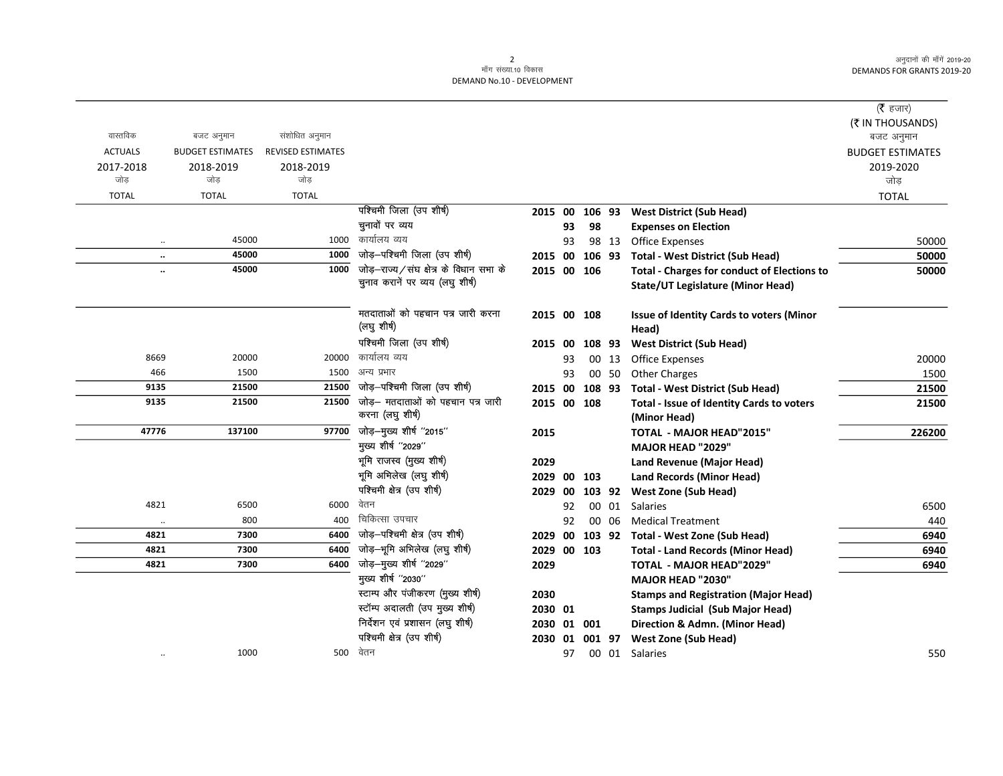|                      |                         |                          |                                        |             |    |        |       |                                                    | ( <b>रै</b> हजार)       |
|----------------------|-------------------------|--------------------------|----------------------------------------|-------------|----|--------|-------|----------------------------------------------------|-------------------------|
|                      |                         |                          |                                        |             |    |        |       |                                                    | (₹ IN THOUSANDS)        |
| वास्तविक             | बजट अनुमान              | संशोधित अनुमान           |                                        |             |    |        |       |                                                    | बजट अनुमान              |
| <b>ACTUALS</b>       | <b>BUDGET ESTIMATES</b> | <b>REVISED ESTIMATES</b> |                                        |             |    |        |       |                                                    | <b>BUDGET ESTIMATES</b> |
| 2017-2018            | 2018-2019               | 2018-2019                |                                        |             |    |        |       |                                                    | 2019-2020               |
| जोड़                 | जोड                     | जोड                      |                                        |             |    |        |       |                                                    | जोड                     |
| <b>TOTAL</b>         | <b>TOTAL</b>            | <b>TOTAL</b>             |                                        |             |    |        |       |                                                    | <b>TOTAL</b>            |
|                      |                         |                          | पश्चिमी जिला (उप शीर्ष)                | 2015 00     |    | 106 93 |       | <b>West District (Sub Head)</b>                    |                         |
|                      |                         |                          | चुनावों पर व्यय                        |             | 93 | 98     |       | <b>Expenses on Election</b>                        |                         |
| $\ddotsc$            | 45000                   | 1000                     | कार्यालय व्यय                          |             | 93 |        | 98 13 | <b>Office Expenses</b>                             | 50000                   |
| $\ddot{\phantom{a}}$ | 45000                   | 1000                     | जोड़-पश्चिमी जिला (उप शीर्ष)           | 2015 00     |    | 106 93 |       | <b>Total - West District (Sub Head)</b>            | 50000                   |
| $\ddot{\phantom{a}}$ | 45000                   | 1000                     | जोड़-राज्य/संघ क्षेत्र के विधान सभा के | 2015 00 106 |    |        |       | <b>Total - Charges for conduct of Elections to</b> | 50000                   |
|                      |                         |                          | चुनाव करानें पर व्यय (लघु शीर्ष)       |             |    |        |       | <b>State/UT Legislature (Minor Head)</b>           |                         |
|                      |                         |                          | मतदाताओं को पहचान पत्र जारी करना       | 2015 00 108 |    |        |       | <b>Issue of Identity Cards to voters (Minor</b>    |                         |
|                      |                         |                          | (लघु शीर्ष)                            |             |    |        |       | Head)                                              |                         |
|                      |                         |                          | पश्चिमी जिला (उप शीर्ष)                | 2015 00     |    | 108 93 |       | <b>West District (Sub Head)</b>                    |                         |
| 8669                 | 20000                   | 20000                    | कार्यालय व्यय                          |             | 93 |        | 00 13 | Office Expenses                                    | 20000                   |
| 466                  | 1500                    | 1500                     | अन्य प्रभार                            |             | 93 |        | 00 50 | <b>Other Charges</b>                               | 1500                    |
| 9135                 | 21500                   | 21500                    | जोड़-पश्चिमी जिला (उप शीर्ष)           | 2015 00     |    | 108 93 |       | <b>Total - West District (Sub Head)</b>            | 21500                   |
| 9135                 | 21500                   | 21500                    | जोड़— मतदाताओं को पहचान पत्र जारी      | 2015 00 108 |    |        |       | Total - Issue of Identity Cards to voters          | 21500                   |
|                      |                         |                          | करना (लघु शीर्ष)                       |             |    |        |       | (Minor Head)                                       |                         |
| 47776                | 137100                  | 97700                    | जोड़—मुख्य शीर्ष "2015"                | 2015        |    |        |       | <b>TOTAL - MAJOR HEAD"2015"</b>                    | 226200                  |
|                      |                         |                          | मुख्य शीर्ष "2029"                     |             |    |        |       | MAJOR HEAD "2029"                                  |                         |
|                      |                         |                          | भूमि राजस्व (मुख्य शीर्ष)              | 2029        |    |        |       | Land Revenue (Major Head)                          |                         |
|                      |                         |                          | भूमि अभिलेख (लघु शीर्ष)                | 2029 00     |    | 103    |       | <b>Land Records (Minor Head)</b>                   |                         |
|                      |                         |                          | पश्चिमी क्षेत्र (उप शीर्ष)             | 2029 00     |    | 103 92 |       | <b>West Zone (Sub Head)</b>                        |                         |
| 4821                 | 6500                    | 6000                     | वेतन                                   |             | 92 |        | 00 01 | Salaries                                           | 6500                    |
| $\ddot{\phantom{a}}$ | 800                     | 400                      | चिकित्सा उपचार                         |             | 92 |        | 00 06 | <b>Medical Treatment</b>                           | 440                     |
| 4821                 | 7300                    | 6400                     | जोड़-पश्चिमी क्षेत्र (उप शीर्ष)        | 2029 00     |    |        |       | 103 92 Total - West Zone (Sub Head)                | 6940                    |
| 4821                 | 7300                    | 6400                     | जोड़–भूमि अभिलेख (लघु शीर्ष)           | 2029 00 103 |    |        |       | <b>Total - Land Records (Minor Head)</b>           | 6940                    |
| 4821                 | 7300                    | 6400                     | जोड़-मुख्य शीर्ष "2029"                | 2029        |    |        |       | <b>TOTAL - MAJOR HEAD"2029"</b>                    | 6940                    |
|                      |                         |                          | मुख्य शीर्ष "2030"                     |             |    |        |       | <b>MAJOR HEAD "2030"</b>                           |                         |
|                      |                         |                          | स्टाम्प और पंजीकरण (मुख्य शीर्ष)       | 2030        |    |        |       | <b>Stamps and Registration (Major Head)</b>        |                         |
|                      |                         |                          | स्टॉम्प अदालती (उप मुख्य शीर्ष)        | 2030 01     |    |        |       | <b>Stamps Judicial (Sub Major Head)</b>            |                         |
|                      |                         |                          | निर्देशन एवं प्रशासन (लघु शीर्ष)       | 2030        |    | 01 001 |       | Direction & Admn. (Minor Head)                     |                         |
|                      |                         |                          | पश्चिमी क्षेत्र (उप शीर्ष)             | 2030 01     |    | 001 97 |       | <b>West Zone (Sub Head)</b>                        |                         |
| $\ddot{\phantom{0}}$ | 1000                    | 500                      | वेतन                                   |             | 97 |        |       | 00 01 Salaries                                     | 550                     |
|                      |                         |                          |                                        |             |    |        |       |                                                    |                         |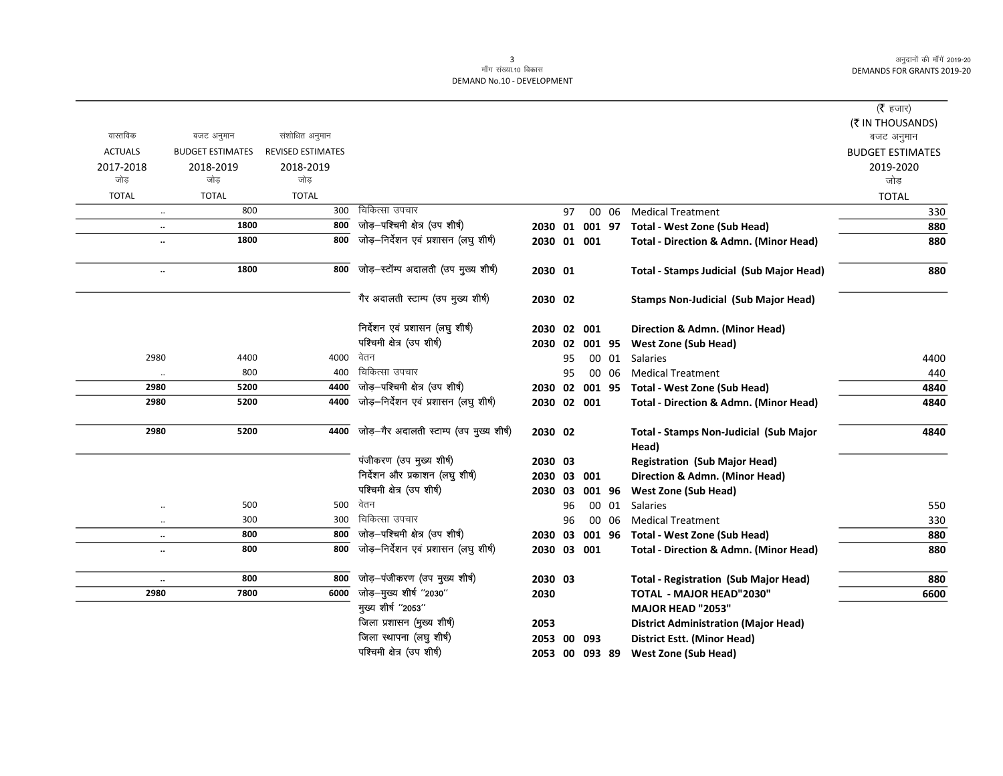## 3<br>माँग संख्या.10 विकास DEMAND No.10 - DEVELOPMENT

|                |                         |                          |                                          |             |    |        |       |                                                   | ( <b>रै</b> हजार)       |
|----------------|-------------------------|--------------------------|------------------------------------------|-------------|----|--------|-------|---------------------------------------------------|-------------------------|
|                |                         |                          |                                          |             |    |        |       |                                                   | (₹ IN THOUSANDS)        |
| वास्तविक       | बजट अनुमान              | संशोधित अनुमान           |                                          |             |    |        |       |                                                   | बजट अनुमान              |
| <b>ACTUALS</b> | <b>BUDGET ESTIMATES</b> | <b>REVISED ESTIMATES</b> |                                          |             |    |        |       |                                                   | <b>BUDGET ESTIMATES</b> |
| 2017-2018      | 2018-2019               | 2018-2019                |                                          |             |    |        |       |                                                   | 2019-2020               |
| जोड            | जोड                     | जोड                      |                                          |             |    |        |       |                                                   | जोड़                    |
| <b>TOTAL</b>   | <b>TOTAL</b>            | <b>TOTAL</b>             |                                          |             |    |        |       |                                                   | <b>TOTAL</b>            |
|                | 800<br>$\ldots$         | 300                      | चिकित्सा उपचार                           |             | 97 |        | 00 06 | <b>Medical Treatment</b>                          | 330                     |
|                | 1800<br>$\ldots$        | 800                      | जोड़-पश्चिमी क्षेत्र (उप शीर्ष)          | 2030 01     |    | 001 97 |       | <b>Total - West Zone (Sub Head)</b>               | 880                     |
|                | 1800<br>$\ldots$        | 800                      | जोड़-निर्देशन एवं प्रशासन (लघु शीर्ष)    | 2030 01 001 |    |        |       | <b>Total - Direction &amp; Admn. (Minor Head)</b> | 880                     |
|                | 1800<br>$\ddotsc$       | 800                      | जोड़-स्टॉम्प अदालती (उप मुख्य शीर्ष)     | 2030 01     |    |        |       | <b>Total - Stamps Judicial (Sub Major Head)</b>   | 880                     |
|                |                         |                          | गैर अदालती स्टाम्प (उप मुख्य शीर्ष)      | 2030 02     |    |        |       | <b>Stamps Non-Judicial (Sub Major Head)</b>       |                         |
|                |                         |                          | निर्देशन एवं प्रशासन (लघु शीर्ष)         | 2030 02 001 |    |        |       | Direction & Admn. (Minor Head)                    |                         |
|                |                         |                          | पश्चिमी क्षेत्र (उप शीर्ष)               | 2030 02     |    | 001 95 |       | <b>West Zone (Sub Head)</b>                       |                         |
| 2980           | 4400                    | 4000                     | वेतन                                     |             | 95 |        |       | 00 01 Salaries                                    | 4400                    |
|                | 800<br>$\ldots$         | 400                      | चिकित्सा उपचार                           |             | 95 |        | 00 06 | <b>Medical Treatment</b>                          | 440                     |
| 2980           | 5200                    | 4400                     | जोड़-पश्चिमी क्षेत्र (उप शीर्ष)          | 2030 02     |    | 001 95 |       | Total - West Zone (Sub Head)                      | 4840                    |
| 2980           | 5200                    | 4400                     | जोड़-निर्देशन एवं प्रशासन (लघु शीर्ष)    | 2030 02 001 |    |        |       | <b>Total - Direction &amp; Admn. (Minor Head)</b> | 4840                    |
| 2980           | 5200                    | 4400                     | जोड़-गैर अदालती स्टाम्प (उप मुख्य शीर्ष) | 2030 02     |    |        |       | Total - Stamps Non-Judicial (Sub Major<br>Head)   | 4840                    |
|                |                         |                          | पंजीकरण (उप मुख्य शीर्ष)                 | 2030 03     |    |        |       | <b>Registration (Sub Major Head)</b>              |                         |
|                |                         |                          | निर्देशन और प्रकाशन (लघु शीर्ष)          | 2030 03     |    | 001    |       | Direction & Admn. (Minor Head)                    |                         |
|                |                         |                          | पश्चिमी क्षेत्र (उप शीर्ष)               | 2030 03     |    | 001 96 |       | <b>West Zone (Sub Head)</b>                       |                         |
|                | 500<br>$\ddotsc$        | 500                      | वेतन                                     |             | 96 |        | 00 01 | Salaries                                          | 550                     |
|                | 300<br>$\ddotsc$        | 300                      | चिकित्सा उपचार                           |             | 96 |        | 00 06 | <b>Medical Treatment</b>                          | 330                     |
|                | 800<br>$\ddotsc$        | 800                      | जोड़-पश्चिमी क्षेत्र (उप शीर्ष)          | 2030 03     |    | 001 96 |       | <b>Total - West Zone (Sub Head)</b>               | 880                     |
|                | 800<br>                 | 800                      | जोड़-निर्देशन एवं प्रशासन (लघु शीर्ष)    | 2030 03 001 |    |        |       | <b>Total - Direction &amp; Admn. (Minor Head)</b> | 880                     |
|                | 800<br>$\ddotsc$        | 800                      | जोड़–पंजीकरण (उप मुख्य शीर्ष)            | 2030 03     |    |        |       | <b>Total - Registration (Sub Major Head)</b>      | 880                     |
| 2980           | 7800                    | 6000                     | जोड़–मुख्य शीर्ष "2030"                  | 2030        |    |        |       | <b>TOTAL - MAJOR HEAD"2030"</b>                   | 6600                    |
|                |                         |                          | मुख्य शीर्ष "2053"                       |             |    |        |       | MAJOR HEAD "2053"                                 |                         |
|                |                         |                          | जिला प्रशासन (मुख्य शीर्ष)               | 2053        |    |        |       | <b>District Administration (Major Head)</b>       |                         |
|                |                         |                          | هما سے سست سنگ                           |             |    |        |       |                                                   |                         |

ftyk LFkkiuk ¼y?k q 'kh"k Z½ 2053 00 093 District Estt. (Minor Head) 2053 00 093 89 West Zone (Sub Head)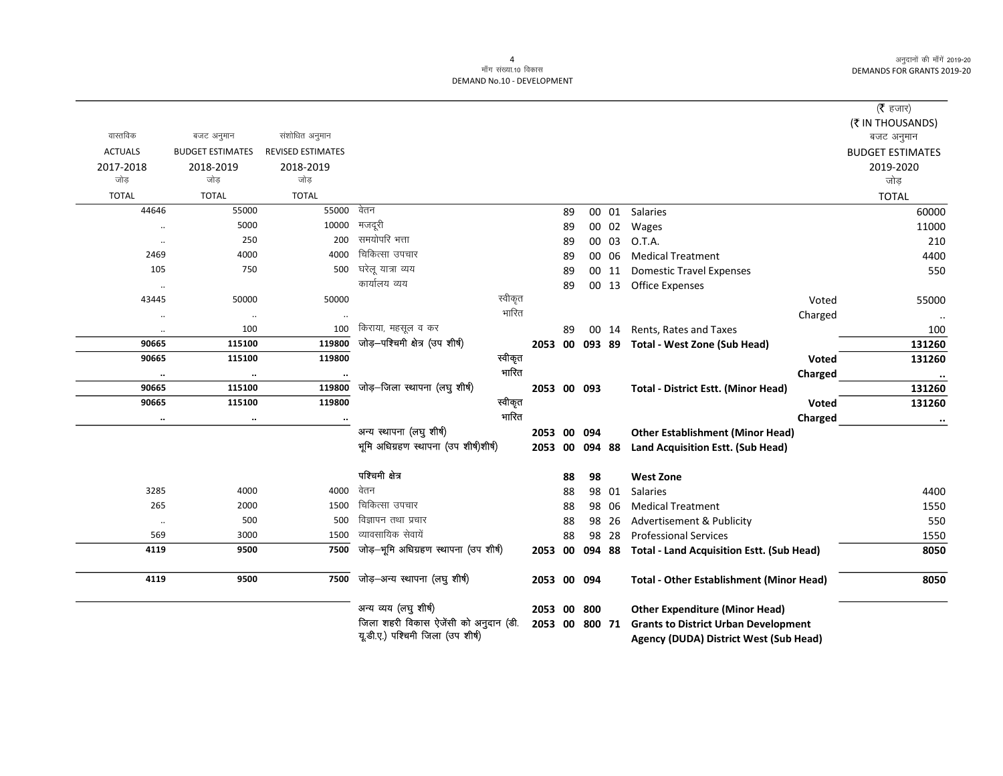|                  |                         |                          |                                                                            |         |             |    |        |       |                                                                                       |       | ( $\bar{\tau}$ हजार)    |
|------------------|-------------------------|--------------------------|----------------------------------------------------------------------------|---------|-------------|----|--------|-------|---------------------------------------------------------------------------------------|-------|-------------------------|
|                  |                         |                          |                                                                            |         |             |    |        |       |                                                                                       |       | (₹ IN THOUSANDS)        |
| वास्तविक         | बजट अनुमान              | संशोधित अनुमान           |                                                                            |         |             |    |        |       |                                                                                       |       | बजट अनुमान              |
| <b>ACTUALS</b>   | <b>BUDGET ESTIMATES</b> | <b>REVISED ESTIMATES</b> |                                                                            |         |             |    |        |       |                                                                                       |       | <b>BUDGET ESTIMATES</b> |
| 2017-2018<br>जोड | 2018-2019<br>जोड        | 2018-2019<br>जोड         |                                                                            |         |             |    |        |       |                                                                                       |       | 2019-2020               |
|                  |                         |                          |                                                                            |         |             |    |        |       |                                                                                       |       | जोड                     |
| <b>TOTAL</b>     | <b>TOTAL</b>            | <b>TOTAL</b><br>55000    | वेतन                                                                       |         |             |    |        |       |                                                                                       |       | <b>TOTAL</b>            |
| 44646            | 55000                   |                          |                                                                            |         |             | 89 |        | 00 01 | <b>Salaries</b>                                                                       |       | 60000                   |
| $\ddotsc$        | 5000                    | 10000                    | मजदूरी<br>समयोपरि भत्ता                                                    |         |             | 89 |        | 00 02 | Wages                                                                                 |       | 11000                   |
| $\ddotsc$        | 250                     | 200                      |                                                                            |         |             | 89 |        | 00 03 | O.T.A.                                                                                |       | 210                     |
| 2469             | 4000                    | 4000                     | चिकित्सा उपचार                                                             |         |             | 89 |        | 00 06 | <b>Medical Treatment</b>                                                              |       | 4400                    |
| 105              | 750                     | 500                      | घरेलू यात्रा व्यय                                                          |         |             | 89 |        | 00 11 | <b>Domestic Travel Expenses</b>                                                       |       | 550                     |
| $\cdot\cdot$     |                         |                          | कार्यालय व्यय                                                              |         |             | 89 |        | 00 13 | <b>Office Expenses</b>                                                                |       |                         |
| 43445            | 50000                   | 50000                    |                                                                            | स्वीकृत |             |    |        |       |                                                                                       | Voted | 55000                   |
| $\cdot\cdot$     | $\ldots$                |                          |                                                                            | भारित   |             |    |        |       | Charged                                                                               |       | $\cdot$                 |
| $\ldots$         | 100                     | 100                      | किराया, महसूल व कर                                                         |         |             | 89 |        | 00 14 | Rents, Rates and Taxes                                                                |       | 100                     |
| 90665            | 115100                  | 119800                   | जोड़-पश्चिमी क्षेत्र (उप शीर्ष)                                            |         | 2053 00     |    |        |       | 093 89 Total - West Zone (Sub Head)                                                   |       | 131260                  |
| 90665            | 115100                  | 119800                   |                                                                            | स्वीकृत |             |    |        |       |                                                                                       | Voted | 131260                  |
| $\ddotsc$        | $\ddotsc$               |                          |                                                                            | भारित   |             |    |        |       | Charged                                                                               |       | $\bullet\bullet$        |
| 90665            | 115100                  | 119800                   | जोड़–जिला स्थापना (लघु शीर्ष)                                              |         | 2053 00 093 |    |        |       | <b>Total - District Estt. (Minor Head)</b>                                            |       | 131260                  |
| 90665            | 115100                  | 119800                   |                                                                            | स्वीकृत |             |    |        |       |                                                                                       | Voted | 131260                  |
| $\cdots$         | $\ddotsc$               |                          |                                                                            | गारित   |             |    |        |       | Charged                                                                               |       | $\ddotsc$               |
|                  |                         |                          | अन्य स्थापना (लघु शीर्ष)                                                   |         | 2053 00     |    | 094    |       | <b>Other Establishment (Minor Head)</b>                                               |       |                         |
|                  |                         |                          | भूमि अधिग्रहण स्थापना (उप शीर्ष)शीर्ष)                                     |         | 2053 00     |    | 094 88 |       | Land Acquisition Estt. (Sub Head)                                                     |       |                         |
|                  |                         |                          | पश्चिमी क्षेत्र                                                            |         |             | 88 | 98     |       | <b>West Zone</b>                                                                      |       |                         |
| 3285             | 4000                    | 4000                     | वेतन                                                                       |         |             | 88 |        | 98 01 | <b>Salaries</b>                                                                       |       | 4400                    |
| 265              | 2000                    | 1500                     | चिकित्सा उपचार                                                             |         |             | 88 |        | 98 06 | <b>Medical Treatment</b>                                                              |       | 1550                    |
| $\ldots$         | 500                     | 500                      | विज्ञापन तथा प्रचार                                                        |         |             | 88 |        | 98 26 | Advertisement & Publicity                                                             |       | 550                     |
| 569              | 3000                    | 1500                     | व्यावसायिक सेवायें                                                         |         |             | 88 |        | 98 28 | <b>Professional Services</b>                                                          |       | 1550                    |
| 4119             | 9500                    | 7500                     | जोड़-भूमि अधिग्रहण स्थापना (उप शीर्ष)                                      |         | 2053 00     |    | 094 88 |       | <b>Total - Land Acquisition Estt. (Sub Head)</b>                                      |       | 8050                    |
| 4119             | 9500                    | 7500                     | जोड़-अन्य स्थापना (लघु शीर्ष)                                              |         | 2053 00     |    | 094    |       | <b>Total - Other Establishment (Minor Head)</b>                                       |       | 8050                    |
|                  |                         |                          | अन्य व्यय (लघु शीर्ष)                                                      |         | 2053 00     |    | 800    |       | <b>Other Expenditure (Minor Head)</b>                                                 |       |                         |
|                  |                         |                          | जिला शहरी विकास ऐजेंसी को अनुदान (डी.<br>यू.डी.ए.) पश्चिमी जिला (उप शीर्ष) |         | 2053 00     |    | 800 71 |       | <b>Grants to District Urban Development</b><br>Agency (DUDA) District West (Sub Head) |       |                         |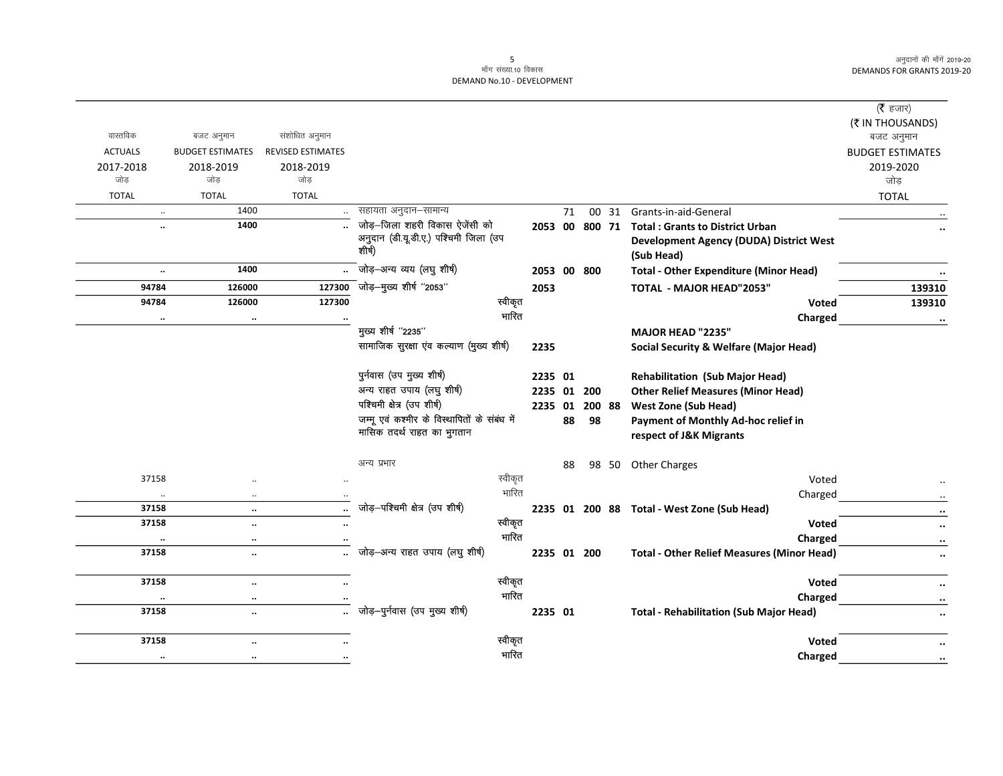|                      |                              |                          |                                                 |             |    |        |                                                              | ( $\bar{\tau}$ हजार)<br>(₹ IN THOUSANDS) |
|----------------------|------------------------------|--------------------------|-------------------------------------------------|-------------|----|--------|--------------------------------------------------------------|------------------------------------------|
| वास्तविक             | बजट अनुमान                   | संशोधित अनुमान           |                                                 |             |    |        |                                                              | बजट अनुमान                               |
| <b>ACTUALS</b>       | <b>BUDGET ESTIMATES</b>      | <b>REVISED ESTIMATES</b> |                                                 |             |    |        |                                                              | <b>BUDGET ESTIMATES</b>                  |
| 2017-2018<br>जोड     | 2018-2019<br>जोड             | 2018-2019<br>जोड         |                                                 |             |    |        |                                                              | 2019-2020<br>जोड़                        |
| <b>TOTAL</b>         | <b>TOTAL</b>                 | <b>TOTAL</b>             |                                                 |             |    |        |                                                              | <b>TOTAL</b>                             |
|                      | 1400<br>$\ddot{\phantom{a}}$ |                          | सहायता अनुदान–सामान्य                           |             | 71 |        | 00 31 Grants-in-aid-General                                  |                                          |
|                      | 1400                         |                          | जोड़-जिला शहरी विकास ऐजेंसी को                  |             |    |        | 2053 00 800 71 Total : Grants to District Urban              |                                          |
|                      |                              |                          | अनुदान (डी.यू.डी.ए.) पश्चिमी जिला (उप<br>शीर्ष) |             |    |        | <b>Development Agency (DUDA) District West</b><br>(Sub Head) |                                          |
| $\ddot{\phantom{a}}$ | 1400                         |                          | - जोड़—अन्य व्यय (लघु शीर्ष)                    | 2053 00 800 |    |        | <b>Total - Other Expenditure (Minor Head)</b>                |                                          |
| 94784                | 126000                       | 127300                   | .<br>जोड़—मुख्य शीर्ष "2053"                    | 2053        |    |        | TOTAL - MAJOR HEAD"2053"                                     | 139310                                   |
| 94784                | 126000                       | 127300                   | स्वीकृत                                         |             |    |        | Voted                                                        | 139310                                   |
|                      | $\ddot{\phantom{a}}$         |                          | भारित                                           |             |    |        | Charged                                                      | $\ddotsc$                                |
|                      |                              |                          | मुख्य शीर्ष "2235"                              |             |    |        | MAJOR HEAD "2235"                                            |                                          |
|                      |                              |                          | सामाजिक सुरक्षा एव कल्याण (मुख्य शीर्ष)         | 2235        |    |        | <b>Social Security &amp; Welfare (Major Head)</b>            |                                          |
|                      |                              |                          | पुर्नवास (उप मुख्य शीर्ष)                       | 2235 01     |    |        | <b>Rehabilitation (Sub Major Head)</b>                       |                                          |
|                      |                              |                          | अन्य राहत उपाय (लघु शीर्ष)                      | 2235 01 200 |    |        | <b>Other Relief Measures (Minor Head)</b>                    |                                          |
|                      |                              |                          | पश्चिमी क्षेत्र (उप शीर्ष)                      | 2235 01     |    | 200 88 | <b>West Zone (Sub Head)</b>                                  |                                          |
|                      |                              |                          | जम्मू एवं कश्मीर के विस्थापितों के संबंध में    |             | 88 | 98     | Payment of Monthly Ad-hoc relief in                          |                                          |
|                      |                              |                          | मासिक तदर्थ राहत का भुगतान                      |             |    |        | respect of J&K Migrants                                      |                                          |
|                      |                              |                          | अन्य प्रभार                                     |             | 88 |        | 98 50 Other Charges                                          |                                          |
| 37158                |                              |                          | स्वीकृत                                         |             |    |        | Voted                                                        |                                          |
|                      | $\ddotsc$                    |                          | भारित                                           |             |    |        | Charged                                                      |                                          |
| 37158                | $\ddotsc$                    |                          | जोड़-पश्चिमी क्षेत्र (उप शीर्ष)                 |             |    |        | 2235 01 200 88 Total - West Zone (Sub Head)                  | $\ddot{\phantom{0}}$                     |
| 37158                | $\ddotsc$                    |                          | स्वीकृत                                         |             |    |        | Voted                                                        | $\ddot{\phantom{0}}$                     |
| $\cdot\cdot$         | $\cdots$                     | $\cdot$                  | भारित                                           |             |    |        | Charged                                                      | $\cdot\cdot$                             |
| 37158                | $\ddotsc$                    |                          | जोड़-अन्य राहत उपाय (लघु शीर्ष)                 | 2235 01 200 |    |        | <b>Total - Other Relief Measures (Minor Head)</b>            | $\ldots$                                 |
| 37158                | $\ddotsc$                    | $\ddot{\phantom{a}}$     | स्वीकृत                                         |             |    |        | <b>Voted</b>                                                 | $\cdots$                                 |
|                      | $\ddot{\phantom{a}}$         |                          | भारित                                           |             |    |        | Charged                                                      | $\cdots$                                 |
| 37158                | $\cdot\cdot$                 |                          | जोड़-पुर्नवास (उप मुख्य शीर्ष)                  | 2235 01     |    |        | <b>Total - Rehabilitation (Sub Major Head)</b>               | $\ddotsc$                                |
| 37158                | $\ddot{\phantom{a}}$         |                          | स्वीकृत                                         |             |    |        | <b>Voted</b>                                                 | $\ddotsc$                                |
| $\ddotsc$            | $\cdot\cdot$                 |                          | भारित                                           |             |    |        | <b>Charged</b>                                               | $\cdot\cdot$                             |